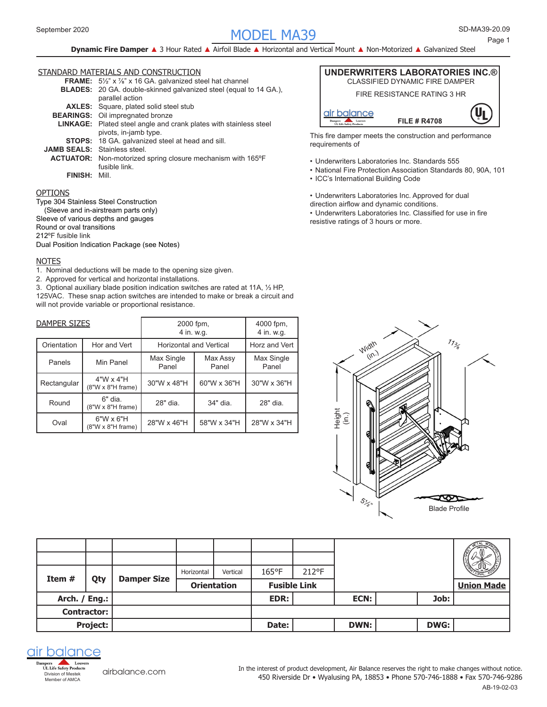# SD-MA39- MODEL MA39 September 2020 20.09

**Dynamic Fire Damper** ▲ 3 Hour Rated ▲ Airfoil Blade ▲ Horizontal and Vertical Mount ▲ Non-Motorized ▲ Galvanized Steel

### STANDARD MATERIALS AND CONSTRUCTION

|                                     | <b>FRAME:</b> $5\frac{1}{2}$ " x $\frac{7}{8}$ " x 16 GA. galvanized steel hat channel |
|-------------------------------------|----------------------------------------------------------------------------------------|
|                                     | BLADES: 20 GA. double-skinned galvanized steel (equal to 14 GA.),                      |
|                                     | parallel action                                                                        |
|                                     | <b>AXLES:</b> Square, plated solid steel stub                                          |
|                                     | <b>BEARINGS:</b> Oil impregnated bronze                                                |
|                                     | <b>LINKAGE:</b> Plated steel angle and crank plates with stainless steel               |
|                                     | pivots, in-jamb type.                                                                  |
|                                     | <b>STOPS:</b> 18 GA. galvanized steel at head and sill.                                |
| <b>JAMB SEALS:</b> Stainless steel. |                                                                                        |
|                                     | <b>ACTUATOR:</b> Non-motorized spring closure mechanism with 165°F                     |
|                                     | fusible link.                                                                          |
| <b>FINISH: Mill</b>                 |                                                                                        |

#### OPTIONS

Type 304 Stainless Steel Construction (Sleeve and in-airstream parts only) Sleeve of various depths and gauges Round or oval transitions 212ºF fusible link Dual Position Indication Package (see Notes)

#### NOTES

1. Nominal deductions will be made to the opening size given.

2. Approved for vertical and horizontal installations.

3. Optional auxiliary blade position indication switches are rated at 11A, 1/3 HP, 125VAC. These snap action switches are intended to make or break a circuit and will not provide variable or proportional resistance.

| DAMPER SIZES |                                       | 2000 fpm,<br>4 in. w.g.        | 4000 fpm,<br>4 in. w.g. |                     |  |
|--------------|---------------------------------------|--------------------------------|-------------------------|---------------------|--|
| Orientation  | Hor and Vert                          | <b>Horizontal and Vertical</b> | Horz and Vert           |                     |  |
| Panels       | Min Panel                             | Max Single<br>Panel            | Max Assy<br>Panel       | Max Single<br>Panel |  |
| Rectangular  | $4"W \times 4"H$<br>(8"W x 8"H frame) | 30"W x 48"H                    | 60"W x 36"H             | 30"W x 36"H         |  |
| Round        | 6" dia.<br>$(8"W \times 8"H frame)$   | 28" dia.                       | 34" dia.                | 28" dia.            |  |
| Oval         | $6"W \times 6"H$<br>(8"W x 8"H frame) | 28"W x 46"H                    | 58"W x 34"H             | 28"W x 34"H         |  |



This fire damper meets the construction and performance requirements of

- • Underwriters Laboratories Inc. Standards 555
- National Fire Protection Association Standards 80, 90A, 101
- • ICC's International Building Code
- Underwriters Laboratories Inc. Approved for dual
- direction airflow and dynamic conditions.

• Underwriters Laboratories Inc. Classified for use in fire resistive ratings of 3 hours or more.



| Item#<br>Qty  |                    | <b>Damper Size</b> | Horizontal | Vertical           | $165^{\circ}$ F     | 212°F |             |             |                   |
|---------------|--------------------|--------------------|------------|--------------------|---------------------|-------|-------------|-------------|-------------------|
|               |                    |                    |            | <b>Orientation</b> | <b>Fusible Link</b> |       |             |             | <b>Union Made</b> |
| Arch. / Eng.: |                    |                    |            |                    | EDR:                |       | ECN:        | Job:        |                   |
|               | <b>Contractor:</b> |                    |            |                    |                     |       |             |             |                   |
|               | Project:           |                    |            |                    | Date:               |       | <b>DWN:</b> | <b>DWG:</b> |                   |



[airbalance.com](http://airbalance.com)

450 Riverside Dr • Wyalusing PA, 18853 • Phone 570-746-1888 • Fax 570-746-9286 In the interest of product development, Air Balance reserves the right to make changes without notice.